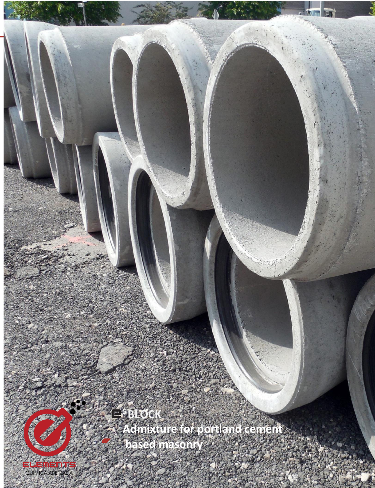

**<sup>5</sup> BLOCK**

1

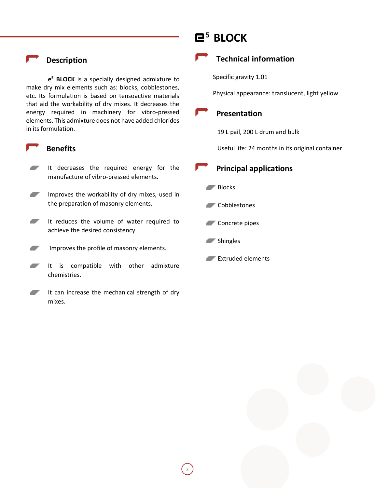## **Description**

**e <sup>5</sup> BLOCK** is a specially designed admixture to make dry mix elements such as: blocks, cobblestones, etc. Its formulation is based on tensoactive materials that aid the workability of dry mixes. It decreases the energy required in machinery for vibro-pressed elements. This admixture does not have added chlorides in its formulation.

### **Benefits**

- It decreases the required energy for the manufacture of vibro-pressed elements.
- ▰ Improves the workability of dry mixes, used in the preparation of masonry elements.
- $\overline{\phantom{a}}$ It reduces the volume of water required to achieve the desired consistency.
- Improves the profile of masonry elements. -
- ▰ It is compatible with other admixture chemistries.
- ▰ It can increase the mechanical strength of dry mixes.

# **<sup>5</sup> BLOCK**



Specific gravity 1.01

Physical appearance: translucent, light yellow

### **Presentation**

19 L pail, 200 L drum and bulk

Useful life: 24 months in its original container

### **Principal applications**

- Blocks
- **Cobblestones**
- Concrete pipes
- **Shingles**

2

Extruded elements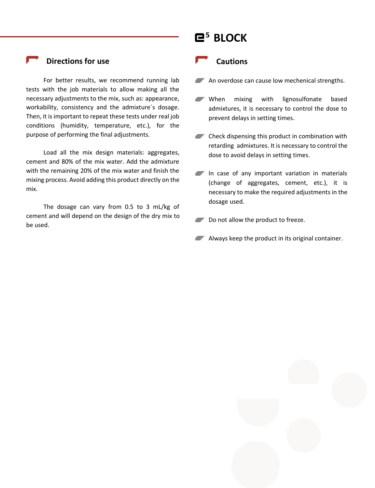# **Directions for use**

For better results, we recommend running lab tests with the job materials to allow making all the necessary adjustments to the mix, such as: appearance, workability, consistency and the admixture´s dosage. Then, it is important to repeat these tests under real job conditions (humidity, temperature, etc.), for the purpose of performing the final adjustments.

Load all the mix design materials: aggregates, cement and 80% of the mix water. Add the admixture with the remaining 20% of the mix water and finish the mixing process. Avoid adding this product directly on the mix.

The dosage can vary from 0.5 to 3 mL/kg of cement and will depend on the design of the dry mix to be used.

# **<sup>5</sup> BLOCK**

#### **Cautions**

- An overdose can cause low mechenical strengths.
- When mixing with lignosulfonate based admixtures, it is necessary to control the dose to prevent delays in setting times.
- **Check dispensing this product in combination with** retarding admixtures. It is necessary to control the dose to avoid delays in setting times.
- In case of any important variation in materials (change of aggregates, cement, etc.), it is necessary to make the required adjustments in the dosage used.
- Do not allow the product to freeze.
- **Always keep the product in its original container.**